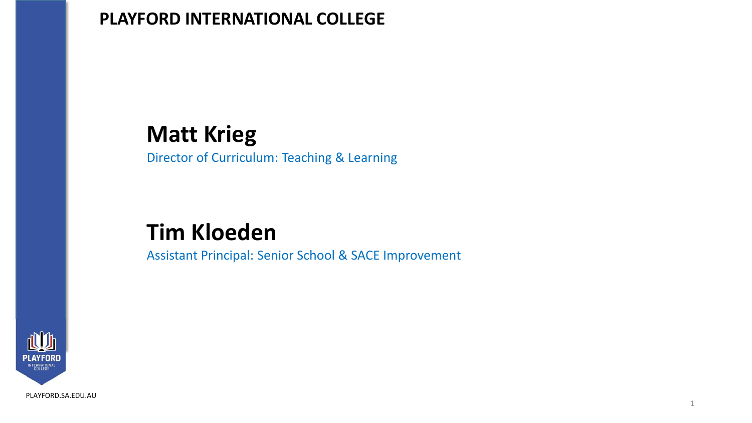## **Matt Krieg**

Director of Curriculum: Teaching & Learning

## **Tim Kloeden**

Assistant Principal: Senior School & SACE Improvement



[PLAYFORD.SA.EDU.AU](http://playford.sa.edu.au/)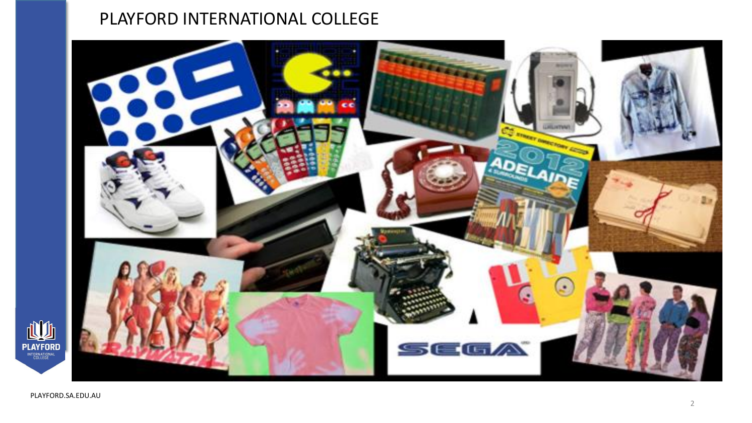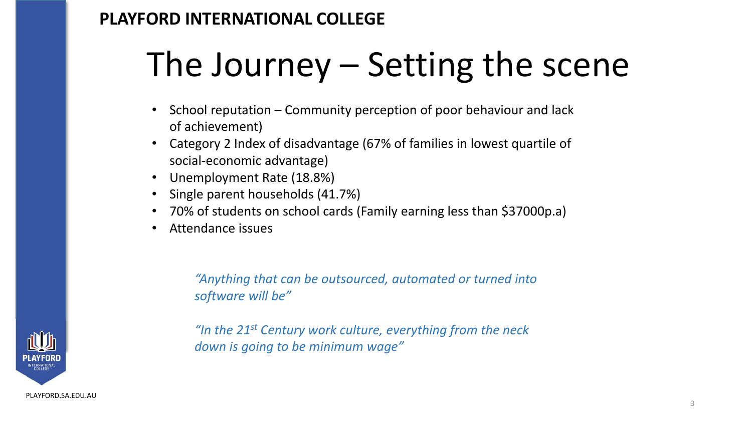# The Journey – Setting the scene

- School reputation Community perception of poor behaviour and lack of achievement)
- Category 2 Index of disadvantage (67% of families in lowest quartile of social-economic advantage)
- Unemployment Rate (18.8%)
- Single parent households (41.7%)
- 70% of students on school cards (Family earning less than \$37000p.a)
- Attendance issues

*"Anything that can be outsourced, automated or turned into software will be"*

*"In the 21st Century work culture, everything from the neck down is going to be minimum wage"* 

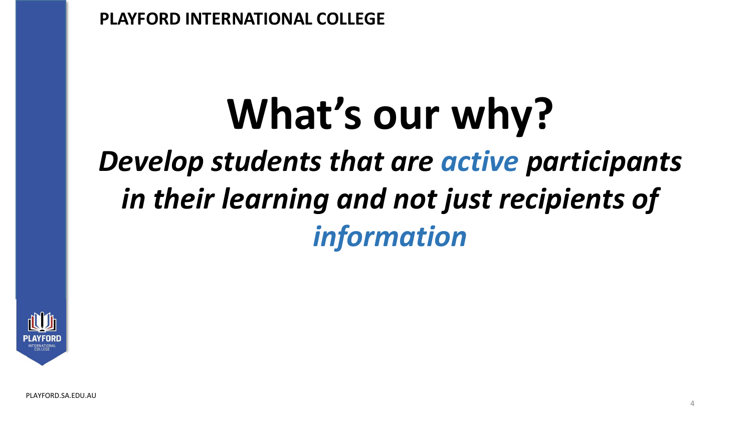# **What's our why?** *Develop students that are active participants in their learning and not just recipients of information*

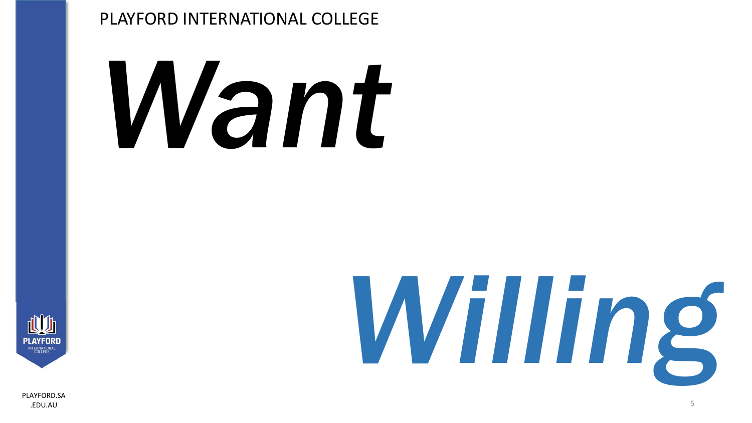# *Want*



[PLAYFORD.SA](http://playford.sa.edu.au/) .EDU.AU 5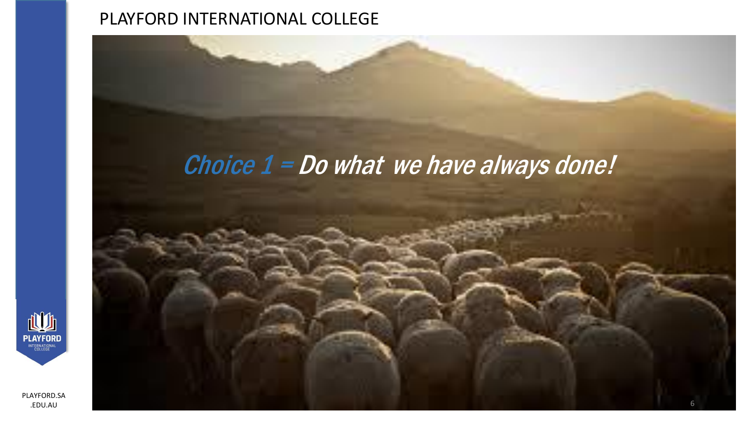# Choice  $1 = Do$  what we have always done!



[PLAYFORD.SA](http://playford.sa.edu.au/) .EDU.AU 6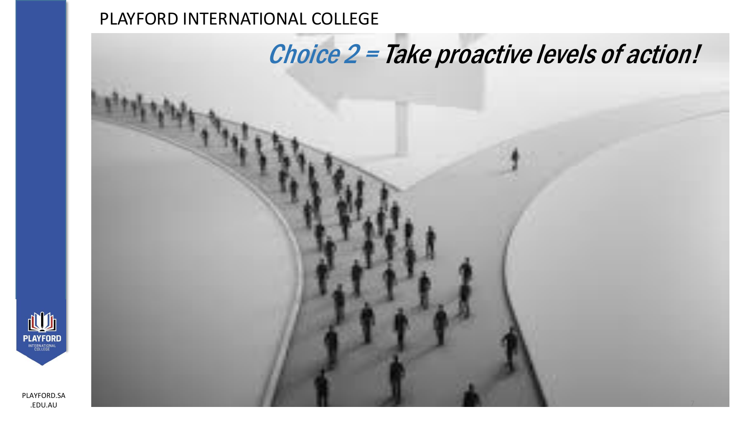# Choice 2 = Take proactive levels of action!



[PLAYFORD.SA](http://playford.sa.edu.au/) .<br>EDU.AU 7000 de entre la constantidad de la constantidad de la constantidad de la constantidad de la constantid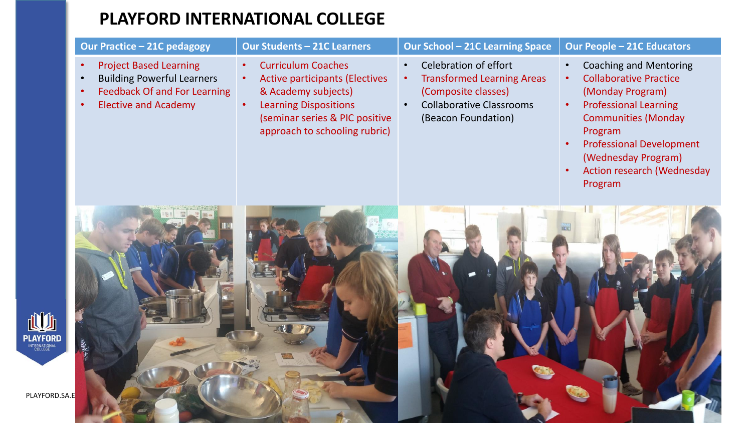|                                  | <b>Our Practice - 21C pedagogy</b>                                                                                                                                                           | <b>Our Students - 21C Learners</b>                                                                                                                                                           | <b>Our School - 21C Learning Space</b>                                                                                                                                | <b>Our People - 21C Educators</b>                                                                                                                                                                                                                                                                            |
|----------------------------------|----------------------------------------------------------------------------------------------------------------------------------------------------------------------------------------------|----------------------------------------------------------------------------------------------------------------------------------------------------------------------------------------------|-----------------------------------------------------------------------------------------------------------------------------------------------------------------------|--------------------------------------------------------------------------------------------------------------------------------------------------------------------------------------------------------------------------------------------------------------------------------------------------------------|
|                                  | <b>Project Based Learning</b><br>$\bullet$<br><b>Building Powerful Learners</b><br>$\bullet$<br><b>Feedback Of and For Learning</b><br>$\bullet$<br><b>Elective and Academy</b><br>$\bullet$ | <b>Curriculum Coaches</b><br><b>Active participants (Electives</b><br>& Academy subjects)<br><b>Learning Dispositions</b><br>(seminar series & PIC positive<br>approach to schooling rubric) | Celebration of effort<br>$\bullet$<br><b>Transformed Learning Areas</b><br>$\bullet$<br>(Composite classes)<br><b>Collaborative Classrooms</b><br>(Beacon Foundation) | <b>Coaching and Mentoring</b><br>$\bullet$<br><b>Collaborative Practice</b><br>$\bullet$<br>(Monday Program)<br><b>Professional Learning</b><br>$\bullet$<br><b>Communities (Monday</b><br>Program<br><b>Professional Development</b><br>(Wednesday Program)<br><b>Action research (Wednesday</b><br>Program |
| <b>PLAYFORD</b><br>PLAYFORD.SA.E |                                                                                                                                                                                              |                                                                                                                                                                                              |                                                                                                                                                                       |                                                                                                                                                                                                                                                                                                              |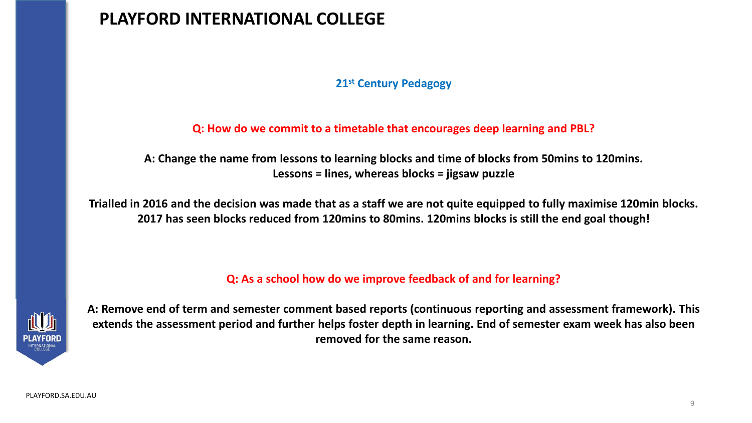#### **21st Century Pedagogy**

#### **Q: How do we commit to a timetable that encourages deep learning and PBL?**

**A: Change the name from lessons to learning blocks and time of blocks from 50mins to 120mins. Lessons = lines, whereas blocks = jigsaw puzzle**

**Trialled in 2016 and the decision was made that as a staff we are not quite equipped to fully maximise 120min blocks. 2017 has seen blocks reduced from 120mins to 80mins. 120mins blocks is still the end goal though!**

**Q: As a school how do we improve feedback of and for learning?**



**A: Remove end of term and semester comment based reports (continuous reporting and assessment framework). This extends the assessment period and further helps foster depth in learning. End of semester exam week has also been removed for the same reason.**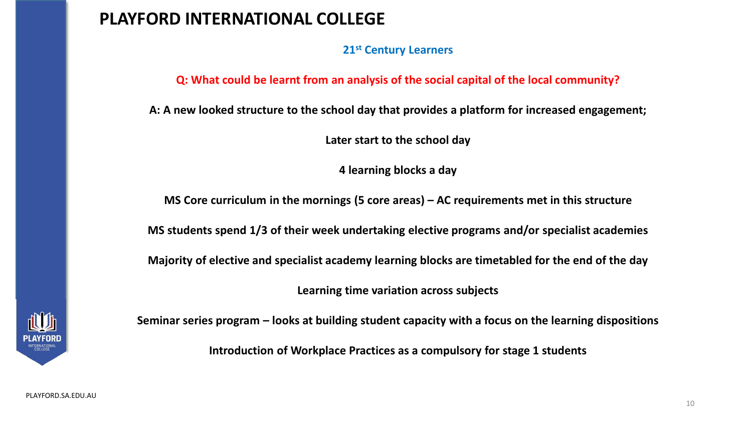**21st Century Learners**

**Q: What could be learnt from an analysis of the social capital of the local community?**

**A: A new looked structure to the school day that provides a platform for increased engagement;**

**Later start to the school day**

**4 learning blocks a day**

**MS Core curriculum in the mornings (5 core areas) – AC requirements met in this structure**

**MS students spend 1/3 of their week undertaking elective programs and/or specialist academies**

**Majority of elective and specialist academy learning blocks are timetabled for the end of the day**

**Learning time variation across subjects**



**Seminar series program – looks at building student capacity with a focus on the learning dispositions**

**Introduction of Workplace Practices as a compulsory for stage 1 students**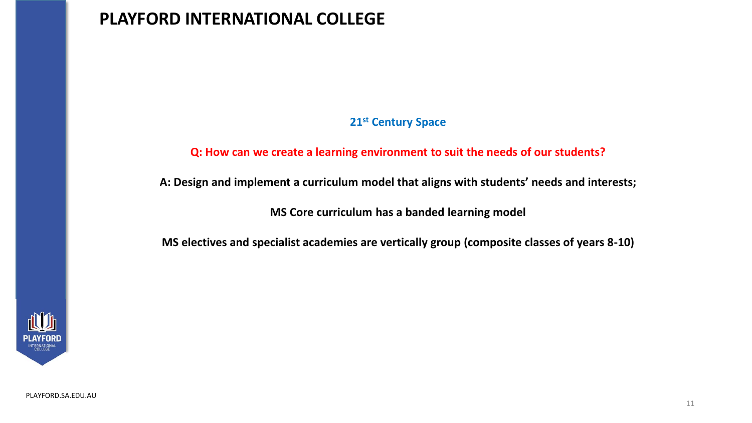#### **21st Century Space**

#### **Q: How can we create a learning environment to suit the needs of our students?**

**A: Design and implement a curriculum model that aligns with students' needs and interests;**

**MS Core curriculum has a banded learning model**

**MS electives and specialist academies are vertically group (composite classes of years 8-10)**

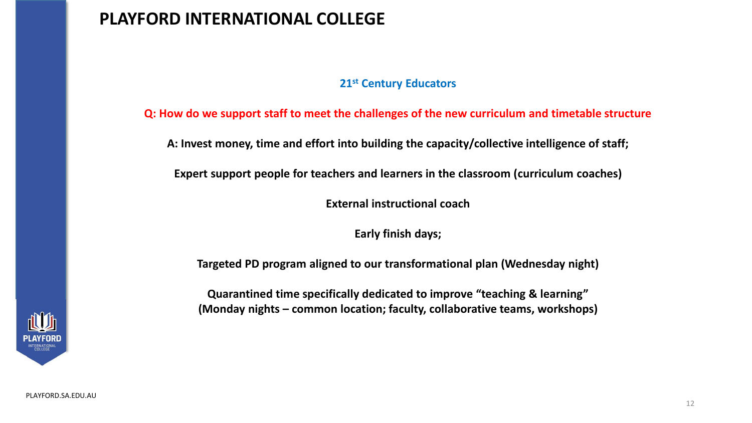#### **21st Century Educators**

**Q: How do we support staff to meet the challenges of the new curriculum and timetable structure**

**A: Invest money, time and effort into building the capacity/collective intelligence of staff;**

**Expert support people for teachers and learners in the classroom (curriculum coaches)**

**External instructional coach**

**Early finish days;**

**Targeted PD program aligned to our transformational plan (Wednesday night)**

**Quarantined time specifically dedicated to improve "teaching & learning" (Monday nights – common location; faculty, collaborative teams, workshops)**